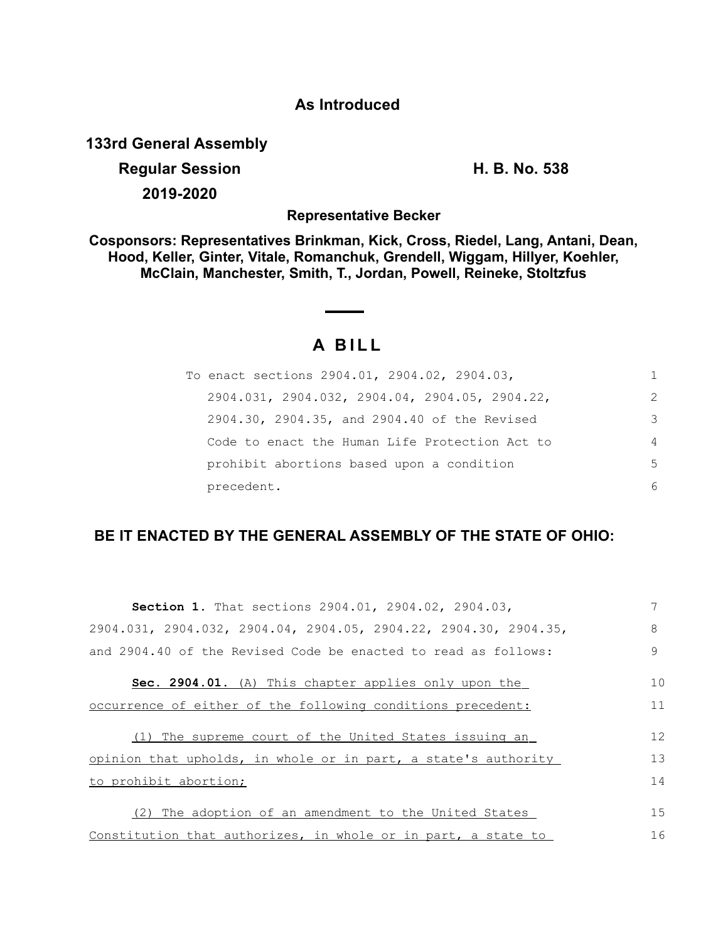## **As Introduced**

**133rd General Assembly**

**Regular Session H. B. No. 538 2019-2020**

**Representative Becker**

**Cosponsors: Representatives Brinkman, Kick, Cross, Riedel, Lang, Antani, Dean, Hood, Keller, Ginter, Vitale, Romanchuk, Grendell, Wiggam, Hillyer, Koehler, McClain, Manchester, Smith, T., Jordan, Powell, Reineke, Stoltzfus**

## **A B I L L**

| To enact sections 2904.01, 2904.02, 2904.03,                | 1              |
|-------------------------------------------------------------|----------------|
| $2904.031$ , $2904.032$ , $2904.04$ , $2904.05$ , $2904.22$ | $\mathcal{L}$  |
| 2904.30, 2904.35, and 2904.40 of the Revised                | 3              |
| Code to enact the Human Life Protection Act to              | $\overline{4}$ |
| prohibit abortions based upon a condition                   | .5             |
| precedent.                                                  | 6              |

## **BE IT ENACTED BY THE GENERAL ASSEMBLY OF THE STATE OF OHIO:**

| Section 1. That sections 2904.01, 2904.02, 2904.03,              |    |
|------------------------------------------------------------------|----|
| 2904.031, 2904.032, 2904.04, 2904.05, 2904.22, 2904.30, 2904.35, | 8  |
| and 2904.40 of the Revised Code be enacted to read as follows:   | 9  |
| Sec. 2904.01. (A) This chapter applies only upon the             | 10 |
| occurrence of either of the following conditions precedent:      | 11 |
| (1) The supreme court of the United States issuing an            | 12 |
| opinion that upholds, in whole or in part, a state's authority   | 13 |
| to prohibit abortion;                                            | 14 |
| The adoption of an amendment to the United States<br>(2)         | 15 |
| Constitution that authorizes, in whole or in part, a state to    | 16 |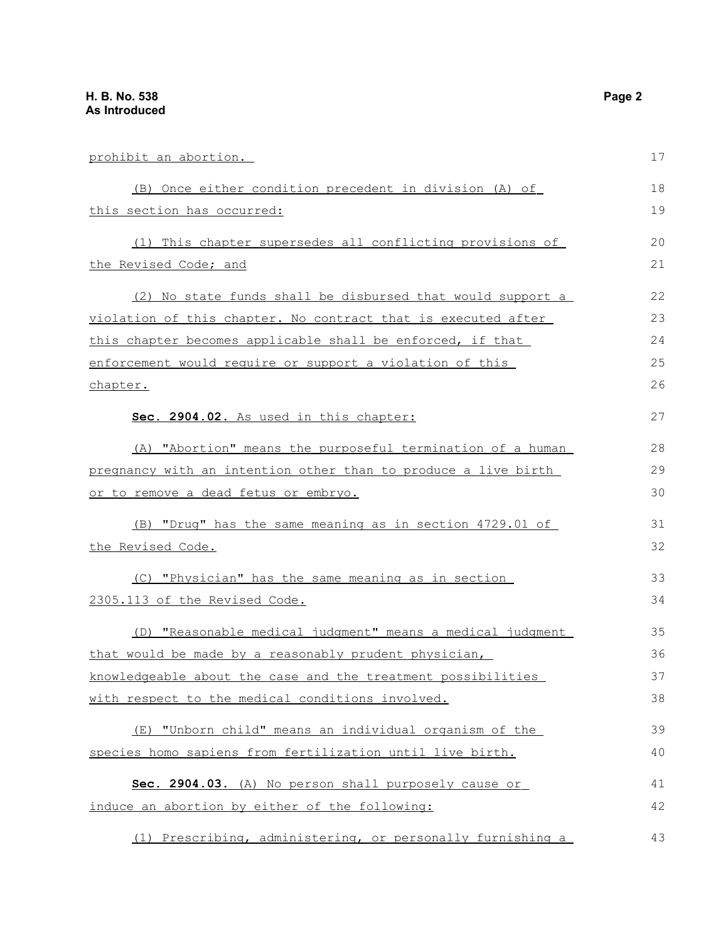| prohibit an abortion.                                                | 17 |
|----------------------------------------------------------------------|----|
| (B) Once either condition precedent in division (A) of               | 18 |
| this section has occurred:                                           | 19 |
| (1) This chapter supersedes all conflicting provisions of            | 20 |
| the Revised Code; and                                                | 21 |
| (2) No state funds shall be disbursed that would support a           | 22 |
| <u>violation of this chapter. No contract that is executed after</u> | 23 |
| this chapter becomes applicable shall be enforced, if that           | 24 |
| enforcement would require or support a violation of this             | 25 |
| chapter.                                                             | 26 |
| Sec. 2904.02. As used in this chapter:                               | 27 |
| (A) "Abortion" means the purposeful termination of a human           | 28 |
| pregnancy with an intention other than to produce a live birth       | 29 |
| <u>or to remove a dead fetus or embryo.</u>                          | 30 |
| (B) "Drug" has the same meaning as in section 4729.01 of             | 31 |
| the Revised Code.                                                    | 32 |
| (C) "Physician" has the same meaning as in section                   | 33 |
| 2305.113 of the Revised Code.                                        | 34 |
| (D) "Reasonable medical judgment" means a medical judgment           | 35 |
| that would be made by a reasonably prudent physician,                | 36 |
| knowledgeable about the case and the treatment possibilities         | 37 |
| with respect to the medical conditions involved.                     | 38 |
| (E) "Unborn child" means an individual organism of the               | 39 |
| species homo sapiens from fertilization until live birth.            | 40 |
| Sec. 2904.03. (A) No person shall purposely cause or                 | 41 |
| induce an abortion by either of the following:                       | 42 |
|                                                                      |    |

 (1) Prescribing, administering, or personally furnishing a 43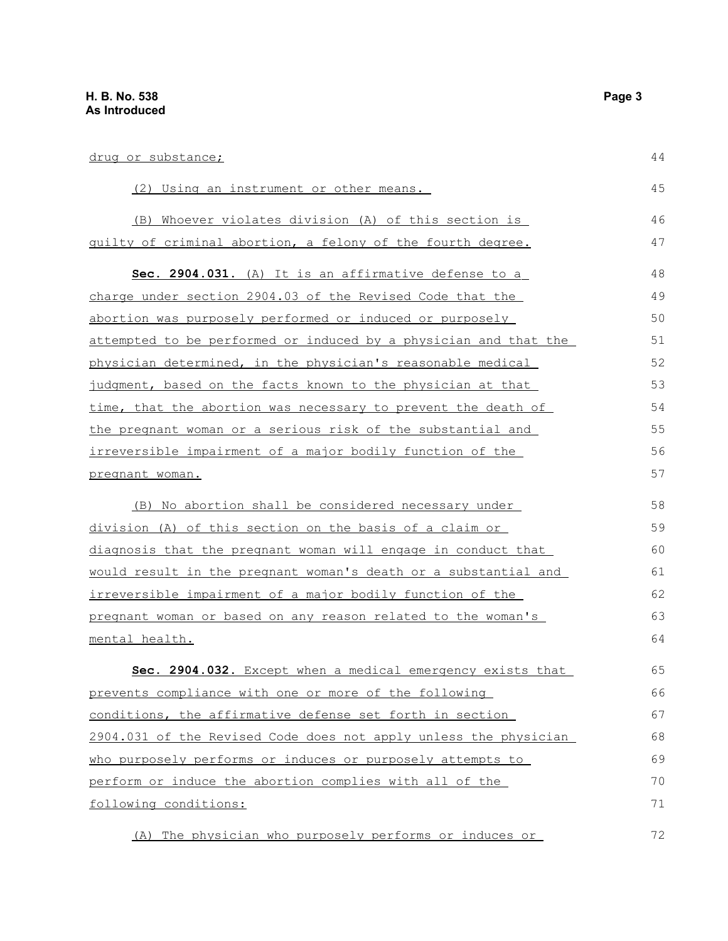| drug or substance;                                               | 44 |
|------------------------------------------------------------------|----|
| (2) Using an instrument or other means.                          | 45 |
| (B) Whoever violates division (A) of this section is             | 46 |
| guilty of criminal abortion, a felony of the fourth degree.      | 47 |
| Sec. 2904.031. (A) It is an affirmative defense to a             | 48 |
| charge under section 2904.03 of the Revised Code that the        | 49 |
| abortion was purposely performed or induced or purposely         | 50 |
| attempted to be performed or induced by a physician and that the | 51 |
| physician determined, in the physician's reasonable medical      | 52 |
| judgment, based on the facts known to the physician at that      | 53 |
| time, that the abortion was necessary to prevent the death of    | 54 |
| the pregnant woman or a serious risk of the substantial and      | 55 |
| irreversible impairment of a major bodily function of the        | 56 |
| pregnant woman.                                                  | 57 |
| (B) No abortion shall be considered necessary under              | 58 |
| division (A) of this section on the basis of a claim or          | 59 |
| diagnosis that the pregnant woman will engage in conduct that    | 60 |
| would result in the pregnant woman's death or a substantial and  | 61 |
| irreversible impairment of a major bodily function of the        | 62 |
| pregnant woman or based on any reason related to the woman's     | 63 |
| mental health.                                                   | 64 |
| Sec. 2904.032. Except when a medical emergency exists that       | 65 |
| prevents compliance with one or more of the following            | 66 |
| conditions, the affirmative defense set forth in section         | 67 |
| 2904.031 of the Revised Code does not apply unless the physician | 68 |
| who purposely performs or induces or purposely attempts to       | 69 |
| perform or induce the abortion complies with all of the          | 70 |
| following conditions:                                            | 71 |
| (A) The physician who purposely performs or induces or           | 72 |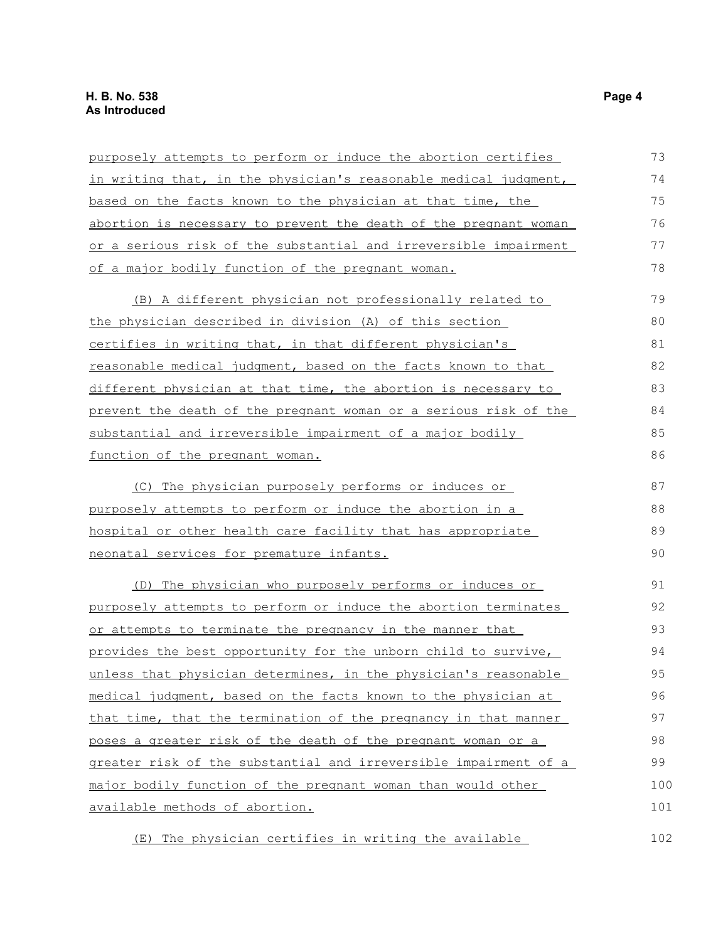| purposely attempts to perform or induce the abortion certifies   | 73  |
|------------------------------------------------------------------|-----|
| in writing that, in the physician's reasonable medical judgment, | 74  |
| based on the facts known to the physician at that time, the      | 75  |
| abortion is necessary to prevent the death of the pregnant woman | 76  |
| or a serious risk of the substantial and irreversible impairment | 77  |
| of a major bodily function of the pregnant woman.                | 78  |
| (B) A different physician not professionally related to          | 79  |
| the physician described in division (A) of this section          | 80  |
| certifies in writing that, in that different physician's         | 81  |
| reasonable medical judgment, based on the facts known to that    | 82  |
| different physician at that time, the abortion is necessary to   | 83  |
| prevent the death of the pregnant woman or a serious risk of the | 84  |
| substantial and irreversible impairment of a major bodily        | 85  |
| <u>function of the pregnant woman.</u>                           | 86  |
| (C) The physician purposely performs or induces or               | 87  |
| purposely attempts to perform or induce the abortion in a        | 88  |
| hospital or other health care facility that has appropriate      | 89  |
| neonatal services for premature infants.                         | 90  |
| (D) The physician who purposely performs or induces or           | 91  |
| purposely attempts to perform or induce the abortion terminates  | 92  |
| or attempts to terminate the pregnancy in the manner that        | 93  |
| provides the best opportunity for the unborn child to survive,   | 94  |
| unless that physician determines, in the physician's reasonable  | 95  |
| medical judgment, based on the facts known to the physician at   | 96  |
| that time, that the termination of the pregnancy in that manner  | 97  |
| poses a greater risk of the death of the pregnant woman or a     | 98  |
| greater risk of the substantial and irreversible impairment of a | 99  |
| major bodily function of the pregnant woman than would other     | 100 |
| available methods of abortion.                                   | 101 |
| (E) The physician certifies in writing the available             | 102 |

(E) The physician certifies in writing the available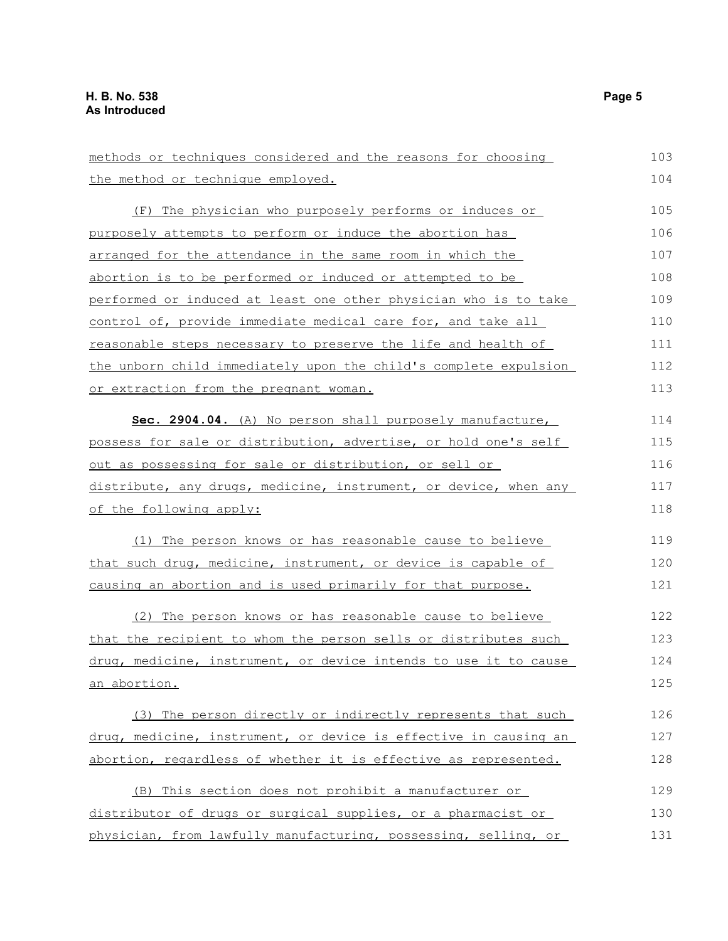| methods or techniques considered and the reasons for choosing    | 103 |
|------------------------------------------------------------------|-----|
| the method or technique employed.                                | 104 |
| The physician who purposely performs or induces or<br>(F)        | 105 |
| purposely attempts to perform or induce the abortion has         | 106 |
| <u>arranged for the attendance in the same room in which the</u> | 107 |
| abortion is to be performed or induced or attempted to be        | 108 |
| performed or induced at least one other physician who is to take | 109 |
| control of, provide immediate medical care for, and take all     | 110 |
| reasonable steps necessary to preserve the life and health of    | 111 |
| the unborn child immediately upon the child's complete expulsion | 112 |
| or extraction from the pregnant woman.                           | 113 |
| Sec. 2904.04. (A) No person shall purposely manufacture,         | 114 |
| possess for sale or distribution, advertise, or hold one's self  | 115 |
| out as possessing for sale or distribution, or sell or           | 116 |
| distribute, any drugs, medicine, instrument, or device, when any | 117 |
| of the following apply:                                          | 118 |
| (1) The person knows or has reasonable cause to believe          | 119 |
| that such drug, medicine, instrument, or device is capable of    | 120 |
| causing an abortion and is used primarily for that purpose.      | 121 |
| (2) The person knows or has reasonable cause to believe          | 122 |
| that the recipient to whom the person sells or distributes such  | 123 |
| drug, medicine, instrument, or device intends to use it to cause | 124 |
| <u>an abortion.</u>                                              | 125 |
| (3) The person directly or indirectly represents that such       | 126 |
| drug, medicine, instrument, or device is effective in causing an | 127 |
| abortion, regardless of whether it is effective as represented.  | 128 |
| (B) This section does not prohibit a manufacturer or             | 129 |
| distributor of drugs or surgical supplies, or a pharmacist or    | 130 |
| physician, from lawfully manufacturing, possessing, selling, or  | 131 |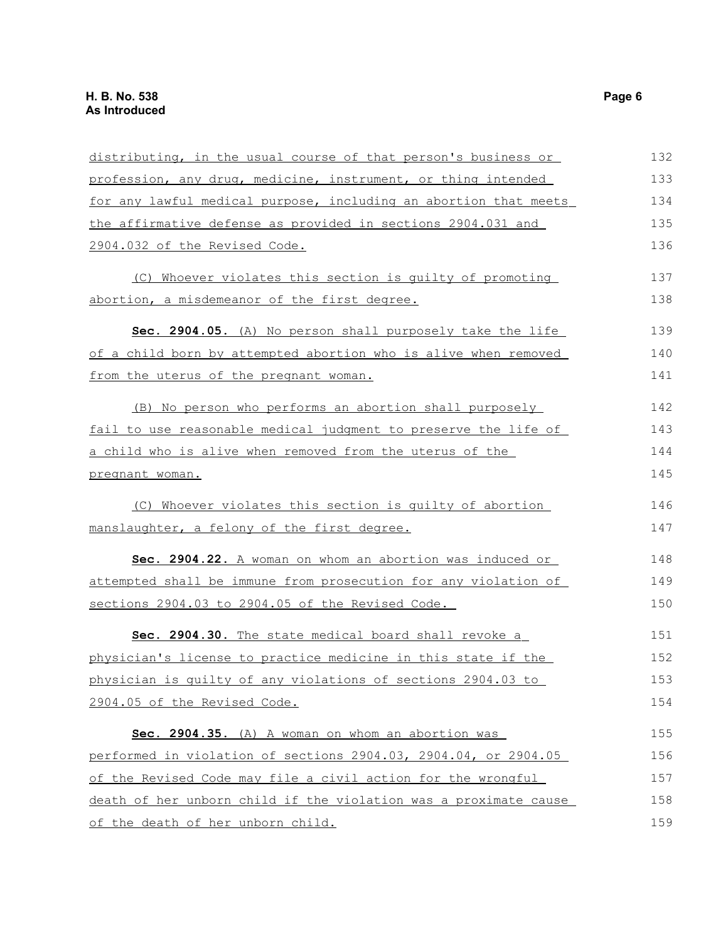| distributing, in the usual course of that person's business or   | 132 |
|------------------------------------------------------------------|-----|
| profession, any drug, medicine, instrument, or thing intended    | 133 |
| for any lawful medical purpose, including an abortion that meets | 134 |
| the affirmative defense as provided in sections 2904.031 and     | 135 |
| 2904.032 of the Revised Code.                                    | 136 |
| (C) Whoever violates this section is quilty of promoting         | 137 |
| abortion, a misdemeanor of the first degree.                     | 138 |
| Sec. 2904.05. (A) No person shall purposely take the life        | 139 |
| of a child born by attempted abortion who is alive when removed  | 140 |
| from the uterus of the pregnant woman.                           | 141 |
| (B) No person who performs an abortion shall purposely           | 142 |
| fail to use reasonable medical judgment to preserve the life of  | 143 |
| a child who is alive when removed from the uterus of the         | 144 |
| pregnant woman.                                                  | 145 |
| (C) Whoever violates this section is quilty of abortion          | 146 |
| manslaughter, a felony of the first degree.                      | 147 |
| Sec. 2904.22. A woman on whom an abortion was induced or         | 148 |
| attempted shall be immune from prosecution for any violation of  | 149 |
| sections 2904.03 to 2904.05 of the Revised Code.                 | 150 |
| Sec. 2904.30. The state medical board shall revoke a             | 151 |
| physician's license to practice medicine in this state if the    | 152 |
| physician is quilty of any violations of sections 2904.03 to     | 153 |
| 2904.05 of the Revised Code.                                     | 154 |
| Sec. 2904.35. (A) A woman on whom an abortion was                | 155 |
| performed in violation of sections 2904.03, 2904.04, or 2904.05  | 156 |
| of the Revised Code may file a civil action for the wrongful     | 157 |
| death of her unborn child if the violation was a proximate cause | 158 |
| of the death of her unborn child.                                | 159 |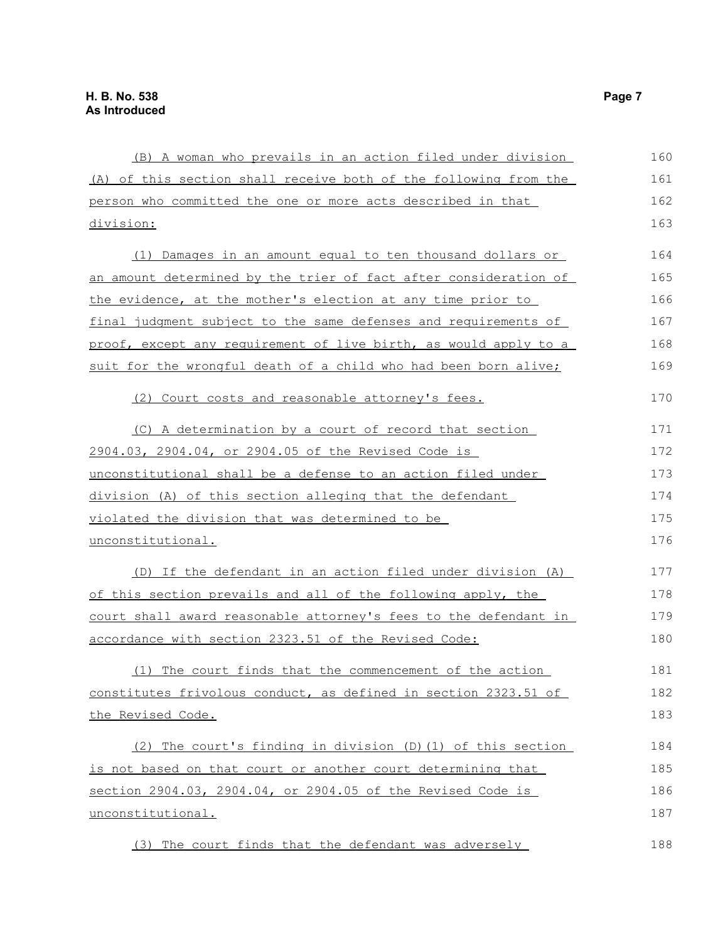| (B) A woman who prevails in an action filed under division             | 160 |
|------------------------------------------------------------------------|-----|
| (A) of this section shall receive both of the following from the       | 161 |
| person who committed the one or more acts described in that            | 162 |
| division:                                                              | 163 |
| (1) Damages in an amount equal to ten thousand dollars or              | 164 |
| an amount determined by the trier of fact after consideration of       | 165 |
| the evidence, at the mother's election at any time prior to            | 166 |
| <u>final judgment subject to the same defenses and requirements of</u> | 167 |
| proof, except any requirement of live birth, as would apply to a       | 168 |
| suit for the wrongful death of a child who had been born alive;        | 169 |
| (2) Court costs and reasonable attorney's fees.                        | 170 |
| (C) A determination by a court of record that section                  | 171 |
| 2904.03, 2904.04, or 2904.05 of the Revised Code is                    | 172 |
| unconstitutional shall be a defense to an action filed under           | 173 |
| division (A) of this section alleging that the defendant               | 174 |
| violated the division that was determined to be                        | 175 |
| unconstitutional.                                                      | 176 |
| (D) If the defendant in an action filed under division (A)             | 177 |
| of this section prevails and all of the following apply, the           | 178 |
| court shall award reasonable attorney's fees to the defendant in       | 179 |
| accordance with section 2323.51 of the Revised Code:                   | 180 |
| (1) The court finds that the commencement of the action                | 181 |
| constitutes frivolous conduct, as defined in section 2323.51 of        | 182 |
| the Revised Code.                                                      | 183 |
| (2) The court's finding in division (D) (1) of this section            | 184 |
| is not based on that court or another court determining that           | 185 |
| section 2904.03, 2904.04, or 2904.05 of the Revised Code is            | 186 |
| unconstitutional.                                                      | 187 |
| (3) The court finds that the defendant was adversely                   | 188 |